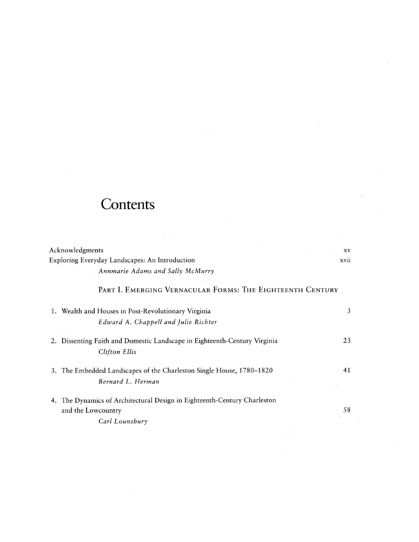## **Contents**

| Acknowledgments                                                                                                  | XV          |
|------------------------------------------------------------------------------------------------------------------|-------------|
| Exploring Everyday Landscapes: An Introduction                                                                   | <b>XV11</b> |
| Annmarie Adams and Sally McMurry                                                                                 |             |
| PART I. EMERGING VERNACULAR FORMS: THE EIGHTEENTH CENTURY                                                        |             |
| 1. Wealth and Houses in Post-Revolutionary Virginia                                                              | 3           |
| Edward A. Chappell and Julie Richter                                                                             |             |
| 2. Dissenting Faith and Domestic Landscape in Eighteenth-Century Virginia<br><b>Clifton Ellis</b>                | 23          |
| 3. The Embedded Landscapes of the Charleston Single House, 1780-1820<br>Bernard L. Herman                        | 41          |
| 4. The Dynamics of Architectural Design in Eighteenth-Century Charleston<br>and the Lowcountry<br>Carl Lounsbury | 58          |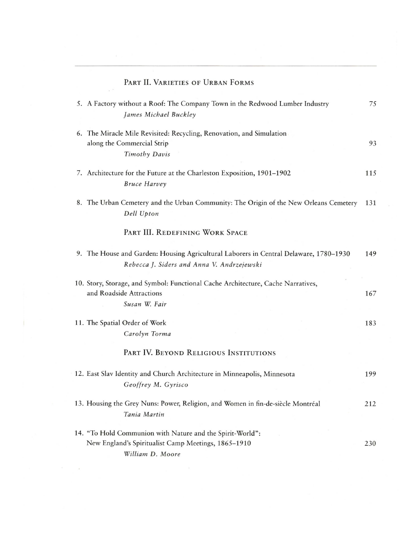| PART II. VARIETIES OF URBAN FORMS                                                                                                    |     |
|--------------------------------------------------------------------------------------------------------------------------------------|-----|
| 5. A Factory without a Roof: The Company Town in the Redwood Lumber Industry<br>James Michael Buckley                                | 75  |
| 6. The Miracle Mile Revisited: Recycling, Renovation, and Simulation<br>along the Commercial Strip<br>Timothy Davis                  | 93  |
| 7. Architecture for the Future at the Charleston Exposition, 1901-1902<br><b>Bruce Harvey</b>                                        | 115 |
| 8. The Urban Cemetery and the Urban Community: The Origin of the New Orleans Cemetery<br>Dell Upton                                  | 131 |
| PART III. REDEFINING WORK SPACE                                                                                                      |     |
| 9. The House and Garden: Housing Agricultural Laborers in Central Delaware, 1780–1930<br>Rebecca J. Siders and Anna V. Andrzejewski  | 149 |
| 10. Story, Storage, and Symbol: Functional Cache Architecture, Cache Narratives,<br>and Roadside Attractions<br>Susan W. Fair        | 167 |
| 11. The Spatial Order of Work<br>Carolyn Torma                                                                                       | 183 |
| PART IV. BEYOND RELIGIOUS INSTITUTIONS                                                                                               |     |
| 12. East Slav Identity and Church Architecture in Minneapolis, Minnesota<br>Geoffrey M. Gyrisco                                      | 199 |
| 13. Housing the Grey Nuns: Power, Religion, and Women in fin-de-siècle Montréal<br>Tania Martin                                      | 212 |
| 14. "To Hold Communion with Nature and the Spirit-World":<br>New England's Spiritualist Camp Meetings, 1865-1910<br>William D. Moore | 230 |

 $\sim$   $\sim$